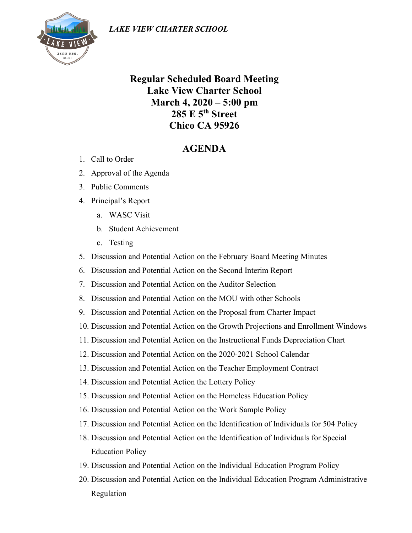

## **Regular Scheduled Board Meeting Lake View Charter School March 4, 2020 – 5:00 pm 285 E 5th Street Chico CA 95926**

## **AGENDA**

- 1. Call to Order
- 2. Approval of the Agenda
- 3. Public Comments
- 4. Principal's Report
	- a. WASC Visit
	- b. Student Achievement
	- c. Testing
- 5. Discussion and Potential Action on the February Board Meeting Minutes
- 6. Discussion and Potential Action on the Second Interim Report
- 7. Discussion and Potential Action on the Auditor Selection
- 8. Discussion and Potential Action on the MOU with other Schools
- 9. Discussion and Potential Action on the Proposal from Charter Impact
- 10. Discussion and Potential Action on the Growth Projections and Enrollment Windows
- 11. Discussion and Potential Action on the Instructional Funds Depreciation Chart
- 12. Discussion and Potential Action on the 2020-2021 School Calendar
- 13. Discussion and Potential Action on the Teacher Employment Contract
- 14. Discussion and Potential Action the Lottery Policy
- 15. Discussion and Potential Action on the Homeless Education Policy
- 16. Discussion and Potential Action on the Work Sample Policy
- 17. Discussion and Potential Action on the Identification of Individuals for 504 Policy
- 18. Discussion and Potential Action on the Identification of Individuals for Special Education Policy
- 19. Discussion and Potential Action on the Individual Education Program Policy
- 20. Discussion and Potential Action on the Individual Education Program Administrative Regulation